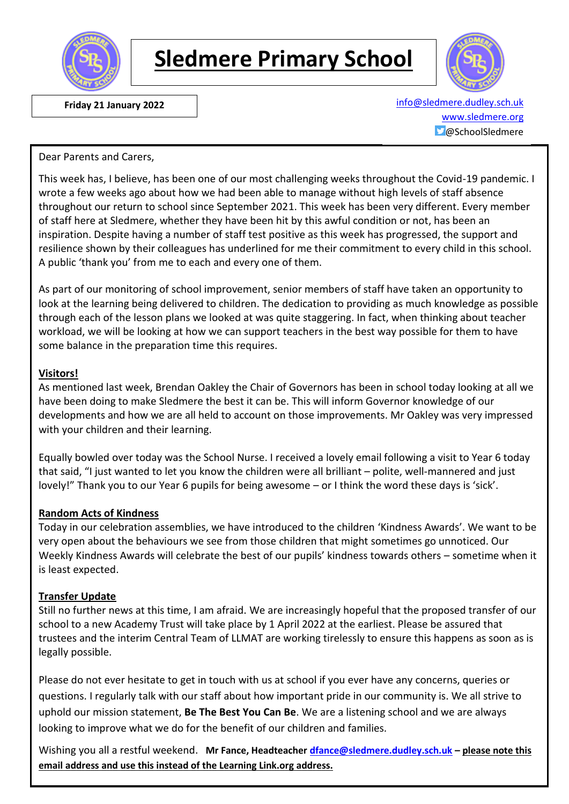

# **Sledmere Primary School**



 **Friday 21 January 2022** [info@sledmere.dudley.sch.uk](mailto:info@sledmere.dudley.sch.uk) [www.sledmere.org](http://www.sledmere.org/)  $\Box$ @SchoolSledmere

#### Dear Parents and Carers,

This week has, I believe, has been one of our most challenging weeks throughout the Covid-19 pandemic. I wrote a few weeks ago about how we had been able to manage without high levels of staff absence throughout our return to school since September 2021. This week has been very different. Every member of staff here at Sledmere, whether they have been hit by this awful condition or not, has been an inspiration. Despite having a number of staff test positive as this week has progressed, the support and resilience shown by their colleagues has underlined for me their commitment to every child in this school. A public 'thank you' from me to each and every one of them.

As part of our monitoring of school improvement, senior members of staff have taken an opportunity to look at the learning being delivered to children. The dedication to providing as much knowledge as possible through each of the lesson plans we looked at was quite staggering. In fact, when thinking about teacher workload, we will be looking at how we can support teachers in the best way possible for them to have some balance in the preparation time this requires.

#### **Visitors!**

As mentioned last week, Brendan Oakley the Chair of Governors has been in school today looking at all we have been doing to make Sledmere the best it can be. This will inform Governor knowledge of our developments and how we are all held to account on those improvements. Mr Oakley was very impressed with your children and their learning.

Equally bowled over today was the School Nurse. I received a lovely email following a visit to Year 6 today that said, "I just wanted to let you know the children were all brilliant – polite, well-mannered and just lovely!" Thank you to our Year 6 pupils for being awesome – or I think the word these days is 'sick'.

#### **Random Acts of Kindness**

Today in our celebration assemblies, we have introduced to the children 'Kindness Awards'. We want to be very open about the behaviours we see from those children that might sometimes go unnoticed. Our Weekly Kindness Awards will celebrate the best of our pupils' kindness towards others – sometime when it is least expected.

#### **Transfer Update**

Still no further news at this time, I am afraid. We are increasingly hopeful that the proposed transfer of our school to a new Academy Trust will take place by 1 April 2022 at the earliest. Please be assured that trustees and the interim Central Team of LLMAT are working tirelessly to ensure this happens as soon as is legally possible.

Please do not ever hesitate to get in touch with us at school if you ever have any concerns, queries or questions. I regularly talk with our staff about how important pride in our community is. We all strive to uphold our mission statement, **Be The Best You Can Be**. We are a listening school and we are always looking to improve what we do for the benefit of our children and families.

Wishing you all a restful weekend. **Mr Fance, Headteacher [dfance@sledmere.dudley.sch.uk](mailto:dfance@sledmere.dudley.sch.uk) – please note this email address and use this instead of the Learning Link.org address.**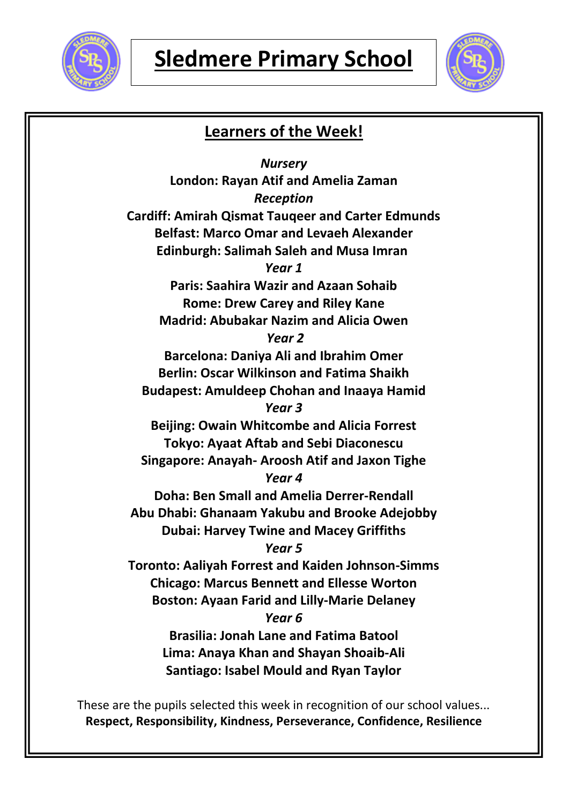



## **Learners of the Week!**

*Nursery* **London: Rayan Atif and Amelia Zaman** *Reception* **Cardiff: Amirah Qismat Tauqeer and Carter Edmunds Belfast: Marco Omar and Levaeh Alexander Edinburgh: Salimah Saleh and Musa Imran** *Year 1* **Paris: Saahira Wazir and Azaan Sohaib Rome: Drew Carey and Riley Kane Madrid: Abubakar Nazim and Alicia Owen** *Year 2* **Barcelona: Daniya Ali and Ibrahim Omer Berlin: Oscar Wilkinson and Fatima Shaikh Budapest: Amuldeep Chohan and Inaaya Hamid** *Year 3* **Beijing: Owain Whitcombe and Alicia Forrest Tokyo: Ayaat Aftab and Sebi Diaconescu Singapore: Anayah- Aroosh Atif and Jaxon Tighe** *Year 4* **Doha: Ben Small and Amelia Derrer-Rendall Abu Dhabi: Ghanaam Yakubu and Brooke Adejobby Dubai: Harvey Twine and Macey Griffiths** *Year 5* **Toronto: Aaliyah Forrest and Kaiden Johnson-Simms Chicago: Marcus Bennett and Ellesse Worton Boston: Ayaan Farid and Lilly-Marie Delaney** *Year 6* **Brasilia: Jonah Lane and Fatima Batool Lima: Anaya Khan and Shayan Shoaib-Ali Santiago: Isabel Mould and Ryan Taylor**

These are the pupils selected this week in recognition of our school values... **Respect, Responsibility, Kindness, Perseverance, Confidence, Resilience**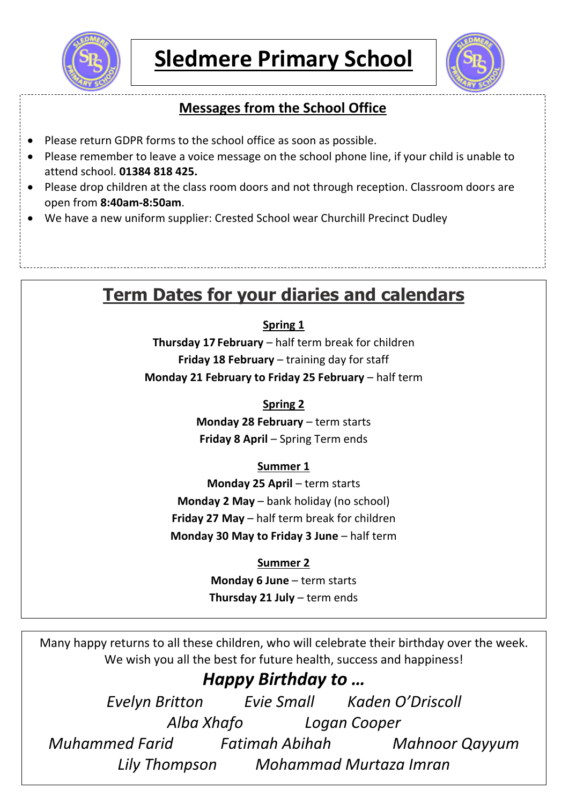



## **Messages from the School Office**

- Please return GDPR forms to the school office as soon as possible.
- Please remember to leave a voice message on the school phone line, if your child is unable to attend school. **01384 818 425.**
- Please drop children at the class room doors and not through reception. Classroom doors are open from **8:40am-8:50am**.
- We have a new uniform supplier: Crested School wear Churchill Precinct Dudley

# **Term Dates for your diaries and calendars**

## **Spring 1**

**Thursday 17 February** – half term break for children **Friday 18 February** – training day for staff **Monday 21 February to Friday 25 February** – half term

## **Spring 2**

**Monday 28 February** – term starts **Friday 8 April** – Spring Term ends

### **Summer 1**

**Monday 25 April** – term starts **Monday 2 May** – bank holiday (no school) **Friday 27 May** – half term break for children **Monday 30 May to Friday 3 June** – half term

### **Summer 2**

**Monday 6 June** – term starts **Thursday 21 July** – term ends

Many happy returns to all these children, who will celebrate their birthday over the week. We wish you all the best for future health, success and happiness!

## *Happy Birthday to …*

*Evelyn Britton Evie Small Kaden O'Driscoll Alba Xhafo Logan Cooper Muhammed Farid Fatimah Abihah Mahnoor Qayyum Lily Thompson Mohammad Murtaza Imran*